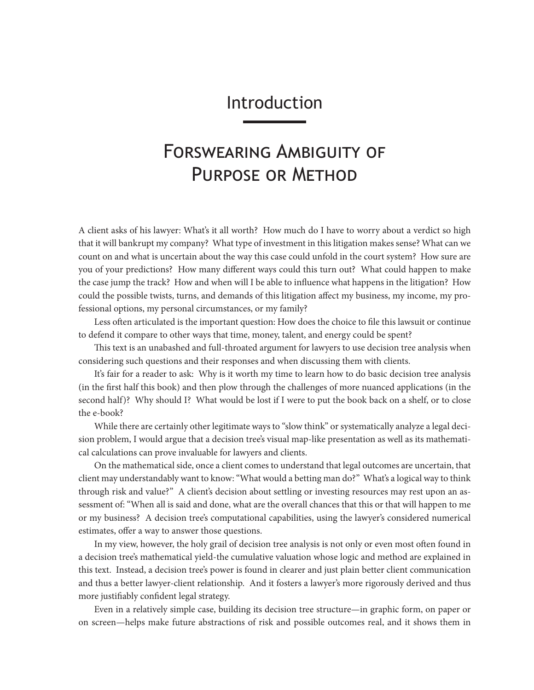## Introduction

## Forswearing Ambiguity of Purpose or Method

A client asks of his lawyer: What's it all worth? How much do I have to worry about a verdict so high that it will bankrupt my company? What type of investment in this litigation makes sense? What can we count on and what is uncertain about the way this case could unfold in the court system? How sure are you of your predictions? How many different ways could this turn out? What could happen to make the case jump the track? How and when will I be able to influence what happens in the litigation? How could the possible twists, turns, and demands of this litigation affect my business, my income, my professional options, my personal circumstances, or my family?

Less often articulated is the important question: How does the choice to file this lawsuit or continue to defend it compare to other ways that time, money, talent, and energy could be spent?

This text is an unabashed and full-throated argument for lawyers to use decision tree analysis when considering such questions and their responses and when discussing them with clients.

It's fair for a reader to ask: Why is it worth my time to learn how to do basic decision tree analysis (in the first half this book) and then plow through the challenges of more nuanced applications (in the second half)? Why should I? What would be lost if I were to put the book back on a shelf, or to close the e-book?

While there are certainly other legitimate ways to "slow think" or systematically analyze a legal decision problem, I would argue that a decision tree's visual map-like presentation as well as its mathematical calculations can prove invaluable for lawyers and clients.

On the mathematical side, once a client comes to understand that legal outcomes are uncertain, that client may understandably want to know: "What would a betting man do?" What's a logical way to think through risk and value?" A client's decision about settling or investing resources may rest upon an assessment of: "When all is said and done, what are the overall chances that this or that will happen to me or my business? A decision tree's computational capabilities, using the lawyer's considered numerical estimates, offer a way to answer those questions.

In my view, however, the holy grail of decision tree analysis is not only or even most often found in a decision tree's mathematical yield-the cumulative valuation whose logic and method are explained in this text. Instead, a decision tree's power is found in clearer and just plain better client communication and thus a better lawyer-client relationship. And it fosters a lawyer's more rigorously derived and thus more justifiably confident legal strategy.

Even in a relatively simple case, building its decision tree structure—in graphic form, on paper or on screen—helps make future abstractions of risk and possible outcomes real, and it shows them in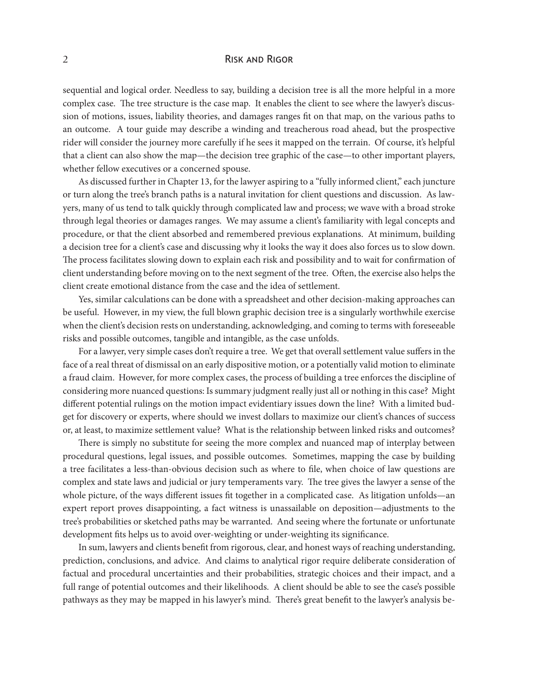## 2 **RISK AND RIGOR**

sequential and logical order. Needless to say, building a decision tree is all the more helpful in a more complex case. The tree structure is the case map. It enables the client to see where the lawyer's discussion of motions, issues, liability theories, and damages ranges fit on that map, on the various paths to an outcome. A tour guide may describe a winding and treacherous road ahead, but the prospective rider will consider the journey more carefully if he sees it mapped on the terrain. Of course, it's helpful that a client can also show the map—the decision tree graphic of the case—to other important players, whether fellow executives or a concerned spouse.

As discussed further in Chapter 13, for the lawyer aspiring to a "fully informed client," each juncture or turn along the tree's branch paths is a natural invitation for client questions and discussion. As lawyers, many of us tend to talk quickly through complicated law and process; we wave with a broad stroke through legal theories or damages ranges. We may assume a client's familiarity with legal concepts and procedure, or that the client absorbed and remembered previous explanations. At minimum, building a decision tree for a client's case and discussing why it looks the way it does also forces us to slow down. The process facilitates slowing down to explain each risk and possibility and to wait for confirmation of client understanding before moving on to the next segment of the tree. Often, the exercise also helps the client create emotional distance from the case and the idea of settlement.

Yes, similar calculations can be done with a spreadsheet and other decision-making approaches can be useful. However, in my view, the full blown graphic decision tree is a singularly worthwhile exercise when the client's decision rests on understanding, acknowledging, and coming to terms with foreseeable risks and possible outcomes, tangible and intangible, as the case unfolds.

For a lawyer, very simple cases don't require a tree. We get that overall settlement value suffers in the face of a real threat of dismissal on an early dispositive motion, or a potentially valid motion to eliminate a fraud claim. However, for more complex cases, the process of building a tree enforces the discipline of considering more nuanced questions: Is summary judgment really just all or nothing in this case? Might different potential rulings on the motion impact evidentiary issues down the line? With a limited budget for discovery or experts, where should we invest dollars to maximize our client's chances of success or, at least, to maximize settlement value? What is the relationship between linked risks and outcomes?

There is simply no substitute for seeing the more complex and nuanced map of interplay between procedural questions, legal issues, and possible outcomes. Sometimes, mapping the case by building a tree facilitates a less-than-obvious decision such as where to file, when choice of law questions are complex and state laws and judicial or jury temperaments vary. The tree gives the lawyer a sense of the whole picture, of the ways different issues fit together in a complicated case. As litigation unfolds—an expert report proves disappointing, a fact witness is unassailable on deposition—adjustments to the tree's probabilities or sketched paths may be warranted. And seeing where the fortunate or unfortunate development fits helps us to avoid over-weighting or under-weighting its significance.

In sum, lawyers and clients benefit from rigorous, clear, and honest ways of reaching understanding, prediction, conclusions, and advice. And claims to analytical rigor require deliberate consideration of factual and procedural uncertainties and their probabilities, strategic choices and their impact, and a full range of potential outcomes and their likelihoods. A client should be able to see the case's possible pathways as they may be mapped in his lawyer's mind. There's great benefit to the lawyer's analysis be-